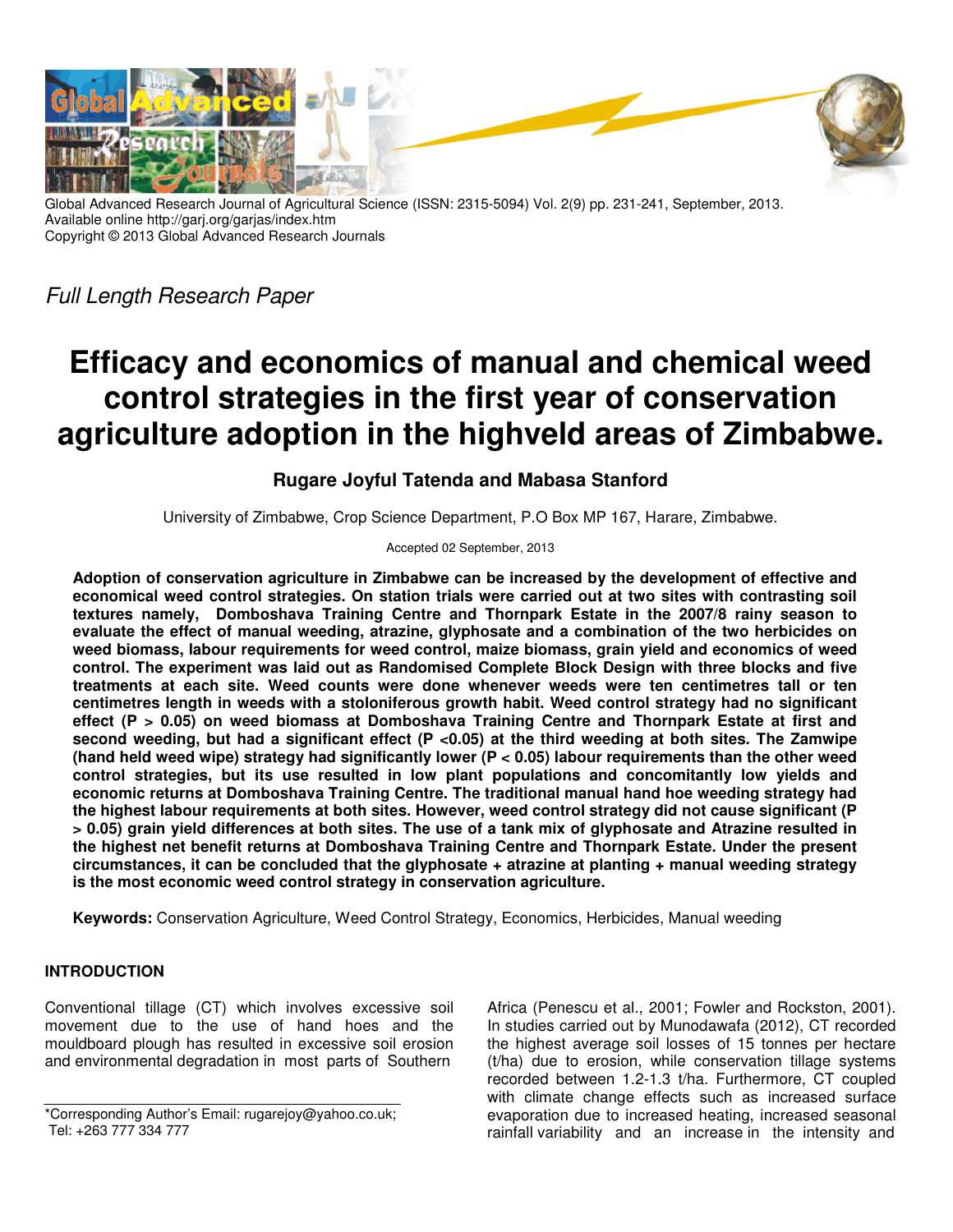

Global Advanced Research Journal of Agricultural Science (ISSN: 2315-5094) Vol. 2(9) pp. 231-241, September, 2013. Available online http://garj.org/garjas/index.htm Copyright © 2013 Global Advanced Research Journals

Full Length Research Paper

# **Efficacy and economics of manual and chemical weed control strategies in the first year of conservation agriculture adoption in the highveld areas of Zimbabwe.**

## **Rugare Joyful Tatenda and Mabasa Stanford**

University of Zimbabwe, Crop Science Department, P.O Box MP 167, Harare, Zimbabwe.

Accepted 02 September, 2013

**Adoption of conservation agriculture in Zimbabwe can be increased by the development of effective and economical weed control strategies. On station trials were carried out at two sites with contrasting soil textures namely, Domboshava Training Centre and Thornpark Estate in the 2007/8 rainy season to evaluate the effect of manual weeding, atrazine, glyphosate and a combination of the two herbicides on weed biomass, labour requirements for weed control, maize biomass, grain yield and economics of weed control. The experiment was laid out as Randomised Complete Block Design with three blocks and five treatments at each site. Weed counts were done whenever weeds were ten centimetres tall or ten centimetres length in weeds with a stoloniferous growth habit. Weed control strategy had no significant effect (P > 0.05) on weed biomass at Domboshava Training Centre and Thornpark Estate at first and second weeding, but had a significant effect (P <0.05) at the third weeding at both sites. The Zamwipe (hand held weed wipe) strategy had significantly lower (P < 0.05) labour requirements than the other weed control strategies, but its use resulted in low plant populations and concomitantly low yields and economic returns at Domboshava Training Centre. The traditional manual hand hoe weeding strategy had the highest labour requirements at both sites. However, weed control strategy did not cause significant (P > 0.05) grain yield differences at both sites. The use of a tank mix of glyphosate and Atrazine resulted in the highest net benefit returns at Domboshava Training Centre and Thornpark Estate. Under the present circumstances, it can be concluded that the glyphosate + atrazine at planting + manual weeding strategy is the most economic weed control strategy in conservation agriculture.** 

**Keywords:** Conservation Agriculture, Weed Control Strategy, Economics, Herbicides, Manual weeding

## **INTRODUCTION**

Conventional tillage (CT) which involves excessive soil movement due to the use of hand hoes and the mouldboard plough has resulted in excessive soil erosion and environmental degradation in most parts of Southern

Africa (Penescu et al., 2001; Fowler and Rockston, 2001). In studies carried out by Munodawafa (2012), CT recorded the highest average soil losses of 15 tonnes per hectare (t/ha) due to erosion, while conservation tillage systems recorded between 1.2-1.3 t/ha. Furthermore, CT coupled with climate change effects such as increased surface evaporation due to increased heating, increased seasonal rainfall variability and an increase in the intensity and

<sup>\*</sup>Corresponding Author's Email: rugarejoy@yahoo.co.uk; Tel: +263 777 334 777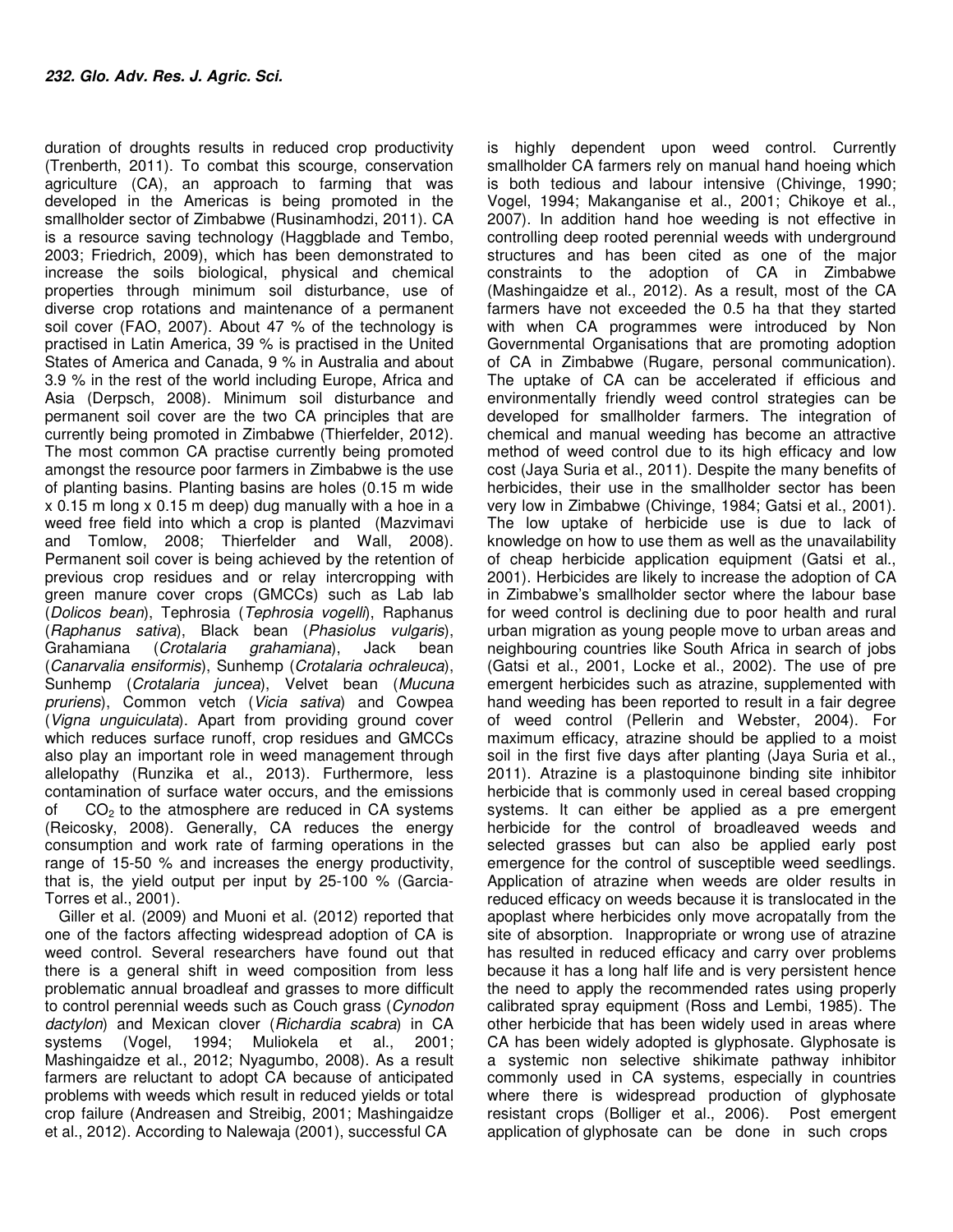duration of droughts results in reduced crop productivity (Trenberth, 2011). To combat this scourge, conservation agriculture (CA), an approach to farming that was developed in the Americas is being promoted in the smallholder sector of Zimbabwe (Rusinamhodzi, 2011). CA is a resource saving technology (Haggblade and Tembo, 2003; Friedrich, 2009), which has been demonstrated to increase the soils biological, physical and chemical properties through minimum soil disturbance, use of diverse crop rotations and maintenance of a permanent soil cover (FAO, 2007). About 47 % of the technology is practised in Latin America, 39 % is practised in the United States of America and Canada, 9 % in Australia and about 3.9 % in the rest of the world including Europe, Africa and Asia (Derpsch, 2008). Minimum soil disturbance and permanent soil cover are the two CA principles that are currently being promoted in Zimbabwe (Thierfelder, 2012). The most common CA practise currently being promoted amongst the resource poor farmers in Zimbabwe is the use of planting basins. Planting basins are holes (0.15 m wide x 0.15 m long x 0.15 m deep) dug manually with a hoe in a weed free field into which a crop is planted (Mazvimavi and Tomlow, 2008; Thierfelder and Wall, 2008). Permanent soil cover is being achieved by the retention of previous crop residues and or relay intercropping with green manure cover crops (GMCCs) such as Lab lab (Dolicos bean), Tephrosia (Tephrosia vogelli), Raphanus (Raphanus sativa), Black bean (Phasiolus vulgaris), Grahamiana (Crotalaria grahamiana), Jack bean (Canarvalia ensiformis), Sunhemp (Crotalaria ochraleuca), Sunhemp (Crotalaria juncea), Velvet bean (Mucuna pruriens), Common vetch (Vicia sativa) and Cowpea (Vigna unguiculata). Apart from providing ground cover which reduces surface runoff, crop residues and GMCCs also play an important role in weed management through allelopathy (Runzika et al., 2013). Furthermore, less contamination of surface water occurs, and the emissions of  $CO<sub>2</sub>$  to the atmosphere are reduced in CA systems (Reicosky, 2008). Generally, CA reduces the energy consumption and work rate of farming operations in the range of 15-50 % and increases the energy productivity, that is, the yield output per input by 25-100 % (Garcia-Torres et al., 2001).

Giller et al. (2009) and Muoni et al. (2012) reported that one of the factors affecting widespread adoption of CA is weed control. Several researchers have found out that there is a general shift in weed composition from less problematic annual broadleaf and grasses to more difficult to control perennial weeds such as Couch grass (Cynodon dactylon) and Mexican clover (Richardia scabra) in CA systems (Vogel, 1994; Muliokela et al., 2001; Mashingaidze et al., 2012; Nyagumbo, 2008). As a result farmers are reluctant to adopt CA because of anticipated problems with weeds which result in reduced yields or total crop failure (Andreasen and Streibig, 2001; Mashingaidze et al., 2012). According to Nalewaja (2001), successful CA

is highly dependent upon weed control. Currently smallholder CA farmers rely on manual hand hoeing which is both tedious and labour intensive (Chivinge, 1990; Vogel, 1994; Makanganise et al., 2001; Chikoye et al., 2007). In addition hand hoe weeding is not effective in controlling deep rooted perennial weeds with underground structures and has been cited as one of the major constraints to the adoption of CA in Zimbabwe (Mashingaidze et al., 2012). As a result, most of the CA farmers have not exceeded the 0.5 ha that they started with when CA programmes were introduced by Non Governmental Organisations that are promoting adoption of CA in Zimbabwe (Rugare, personal communication). The uptake of CA can be accelerated if efficious and environmentally friendly weed control strategies can be developed for smallholder farmers. The integration of chemical and manual weeding has become an attractive method of weed control due to its high efficacy and low cost (Jaya Suria et al., 2011). Despite the many benefits of herbicides, their use in the smallholder sector has been very low in Zimbabwe (Chivinge, 1984; Gatsi et al., 2001). The low uptake of herbicide use is due to lack of knowledge on how to use them as well as the unavailability of cheap herbicide application equipment (Gatsi et al., 2001). Herbicides are likely to increase the adoption of CA in Zimbabwe's smallholder sector where the labour base for weed control is declining due to poor health and rural urban migration as young people move to urban areas and neighbouring countries like South Africa in search of jobs (Gatsi et al., 2001, Locke et al., 2002). The use of pre emergent herbicides such as atrazine, supplemented with hand weeding has been reported to result in a fair degree of weed control (Pellerin and Webster, 2004). For maximum efficacy, atrazine should be applied to a moist soil in the first five days after planting (Jaya Suria et al., 2011). Atrazine is a plastoquinone binding site inhibitor herbicide that is commonly used in cereal based cropping systems. It can either be applied as a pre emergent herbicide for the control of broadleaved weeds and selected grasses but can also be applied early post emergence for the control of susceptible weed seedlings. Application of atrazine when weeds are older results in reduced efficacy on weeds because it is translocated in the apoplast where herbicides only move acropatally from the site of absorption. Inappropriate or wrong use of atrazine has resulted in reduced efficacy and carry over problems because it has a long half life and is very persistent hence the need to apply the recommended rates using properly calibrated spray equipment (Ross and Lembi, 1985). The other herbicide that has been widely used in areas where CA has been widely adopted is glyphosate. Glyphosate is a systemic non selective shikimate pathway inhibitor commonly used in CA systems, especially in countries where there is widespread production of glyphosate resistant crops (Bolliger et al., 2006). Post emergent application of glyphosate can be done in such crops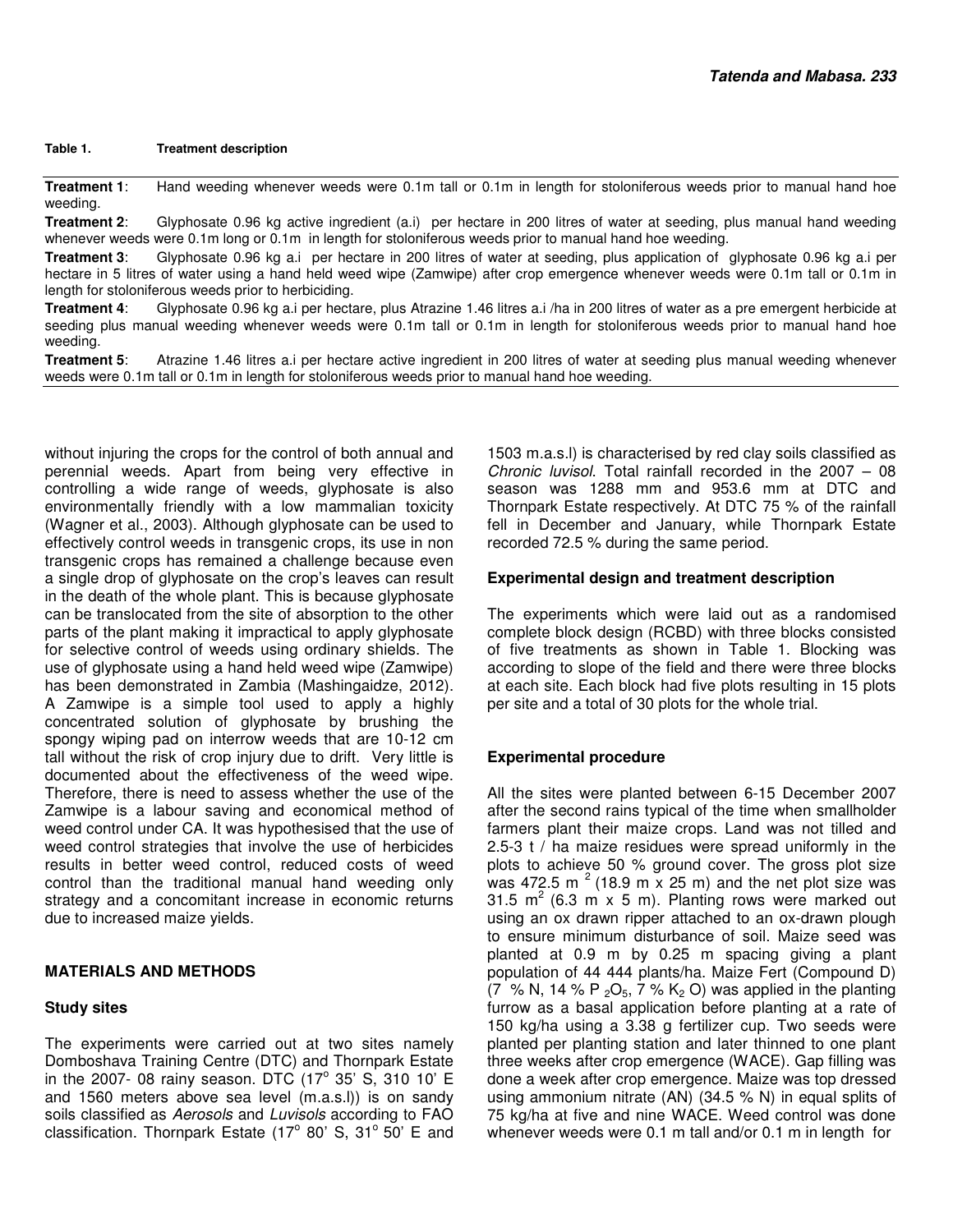#### **Table 1. Treatment description**

**Treatment 1**: Hand weeding whenever weeds were 0.1m tall or 0.1m in length for stoloniferous weeds prior to manual hand hoe weeding.

**Treatment 2**: Glyphosate 0.96 kg active ingredient (a.i) per hectare in 200 litres of water at seeding, plus manual hand weeding whenever weeds were 0.1m long or 0.1m in length for stoloniferous weeds prior to manual hand hoe weeding.

**Treatment 3**: Glyphosate 0.96 kg a.i per hectare in 200 litres of water at seeding, plus application of glyphosate 0.96 kg a.i per hectare in 5 litres of water using a hand held weed wipe (Zamwipe) after crop emergence whenever weeds were 0.1m tall or 0.1m in length for stoloniferous weeds prior to herbiciding.

**Treatment 4**: Glyphosate 0.96 kg a.i per hectare, plus Atrazine 1.46 litres a.i /ha in 200 litres of water as a pre emergent herbicide at seeding plus manual weeding whenever weeds were 0.1m tall or 0.1m in length for stoloniferous weeds prior to manual hand hoe weeding.

**Treatment 5**: Atrazine 1.46 litres a.i per hectare active ingredient in 200 litres of water at seeding plus manual weeding whenever weeds were 0.1m tall or 0.1m in length for stoloniferous weeds prior to manual hand hoe weeding.

without injuring the crops for the control of both annual and perennial weeds. Apart from being very effective in controlling a wide range of weeds, glyphosate is also environmentally friendly with a low mammalian toxicity (Wagner et al., 2003). Although glyphosate can be used to effectively control weeds in transgenic crops, its use in non transgenic crops has remained a challenge because even a single drop of glyphosate on the crop's leaves can result in the death of the whole plant. This is because glyphosate can be translocated from the site of absorption to the other parts of the plant making it impractical to apply glyphosate for selective control of weeds using ordinary shields. The use of glyphosate using a hand held weed wipe (Zamwipe) has been demonstrated in Zambia (Mashingaidze, 2012). A Zamwipe is a simple tool used to apply a highly concentrated solution of glyphosate by brushing the spongy wiping pad on interrow weeds that are 10-12 cm tall without the risk of crop injury due to drift. Very little is documented about the effectiveness of the weed wipe. Therefore, there is need to assess whether the use of the Zamwipe is a labour saving and economical method of weed control under CA. It was hypothesised that the use of weed control strategies that involve the use of herbicides results in better weed control, reduced costs of weed control than the traditional manual hand weeding only strategy and a concomitant increase in economic returns due to increased maize yields.

## **MATERIALS AND METHODS**

## **Study sites**

The experiments were carried out at two sites namely Domboshava Training Centre (DTC) and Thornpark Estate in the 2007- 08 rainy season. DTC  $(17^{\circ}$  35' S, 310 10' E and 1560 meters above sea level (m.a.s.l)) is on sandy soils classified as Aerosols and Luvisols according to FAO classification. Thornpark Estate  $(17^{\circ}$  80' S, 31° 50' E and

1503 m.a.s.l) is characterised by red clay soils classified as Chronic luvisol. Total rainfall recorded in the 2007 – 08 season was 1288 mm and 953.6 mm at DTC and Thornpark Estate respectively. At DTC 75 % of the rainfall fell in December and January, while Thornpark Estate recorded 72.5 % during the same period.

## **Experimental design and treatment description**

The experiments which were laid out as a randomised complete block design (RCBD) with three blocks consisted of five treatments as shown in Table 1. Blocking was according to slope of the field and there were three blocks at each site. Each block had five plots resulting in 15 plots per site and a total of 30 plots for the whole trial.

## **Experimental procedure**

All the sites were planted between 6-15 December 2007 after the second rains typical of the time when smallholder farmers plant their maize crops. Land was not tilled and 2.5-3 t / ha maize residues were spread uniformly in the plots to achieve 50 % ground cover. The gross plot size was 472.5 m<sup>2</sup> (18.9 m  $\times$  25 m) and the net plot size was 31.5  $m^2$  (6.3 m x 5 m). Planting rows were marked out using an ox drawn ripper attached to an ox-drawn plough to ensure minimum disturbance of soil. Maize seed was planted at 0.9 m by 0.25 m spacing giving a plant population of 44 444 plants/ha. Maize Fert (Compound D) (7 % N, 14 % P  $_2$ O<sub>5</sub>, 7 % K<sub>2</sub> O) was applied in the planting furrow as a basal application before planting at a rate of 150 kg/ha using a 3.38 g fertilizer cup. Two seeds were planted per planting station and later thinned to one plant three weeks after crop emergence (WACE). Gap filling was done a week after crop emergence. Maize was top dressed using ammonium nitrate (AN) (34.5 % N) in equal splits of 75 kg/ha at five and nine WACE. Weed control was done whenever weeds were 0.1 m tall and/or 0.1 m in length for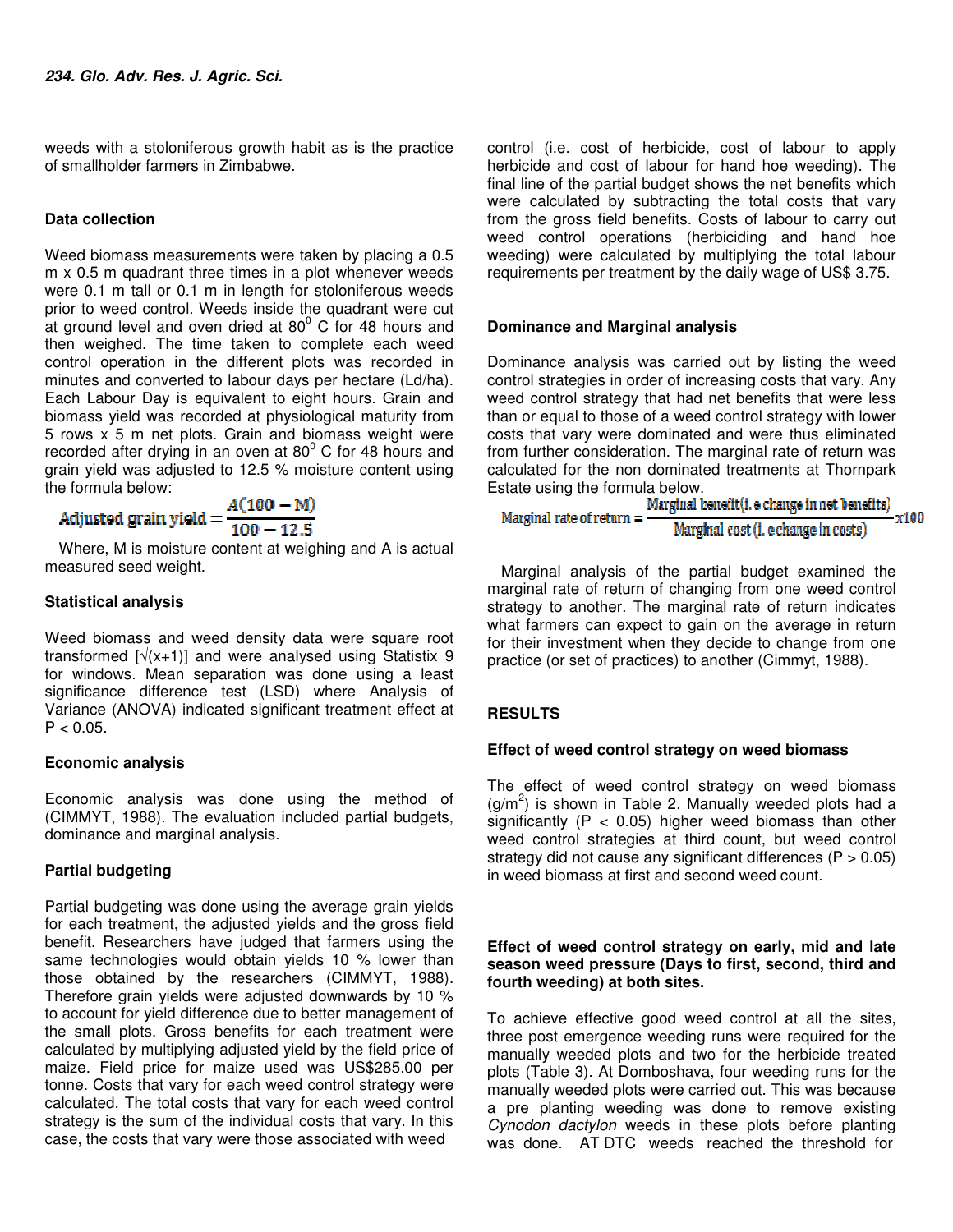weeds with a stoloniferous growth habit as is the practice of smallholder farmers in Zimbabwe.

## **Data collection**

Weed biomass measurements were taken by placing a 0.5 m x 0.5 m quadrant three times in a plot whenever weeds were 0.1 m tall or 0.1 m in length for stoloniferous weeds prior to weed control. Weeds inside the quadrant were cut at ground level and oven dried at  $80^{\circ}$  C for 48 hours and then weighed. The time taken to complete each weed control operation in the different plots was recorded in minutes and converted to labour days per hectare (Ld/ha). Each Labour Day is equivalent to eight hours. Grain and biomass yield was recorded at physiological maturity from 5 rows x 5 m net plots. Grain and biomass weight were recorded after drying in an oven at  $80^{\circ}$  C for 48 hours and grain yield was adjusted to 12.5 % moisture content using the formula below: a Parana and a

$$
adjusted \, grain \, yield = \frac{A(100 - M)}{100 - 12.5}
$$

Where, M is moisture content at weighing and A is actual measured seed weight.

## **Statistical analysis**

Weed biomass and weed density data were square root transformed  $\lceil \sqrt{x+1} \rceil$  and were analysed using Statistix 9 for windows. Mean separation was done using a least significance difference test (LSD) where Analysis of Variance (ANOVA) indicated significant treatment effect at  $P < 0.05$ .

## **Economic analysis**

Economic analysis was done using the method of (CIMMYT, 1988). The evaluation included partial budgets, dominance and marginal analysis.

## **Partial budgeting**

Partial budgeting was done using the average grain yields for each treatment, the adjusted yields and the gross field benefit. Researchers have judged that farmers using the same technologies would obtain yields 10 % lower than those obtained by the researchers (CIMMYT, 1988). Therefore grain yields were adjusted downwards by 10 % to account for yield difference due to better management of the small plots. Gross benefits for each treatment were calculated by multiplying adjusted yield by the field price of maize. Field price for maize used was US\$285.00 per tonne. Costs that vary for each weed control strategy were calculated. The total costs that vary for each weed control strategy is the sum of the individual costs that vary. In this case, the costs that vary were those associated with weed

control (i.e. cost of herbicide, cost of labour to apply herbicide and cost of labour for hand hoe weeding). The final line of the partial budget shows the net benefits which were calculated by subtracting the total costs that vary from the gross field benefits. Costs of labour to carry out weed control operations (herbiciding and hand hoe weeding) were calculated by multiplying the total labour requirements per treatment by the daily wage of US\$ 3.75.

## **Dominance and Marginal analysis**

Dominance analysis was carried out by listing the weed control strategies in order of increasing costs that vary. Any weed control strategy that had net benefits that were less than or equal to those of a weed control strategy with lower costs that vary were dominated and were thus eliminated from further consideration. The marginal rate of return was calculated for the non dominated treatments at Thornpark Estate using the formula below.

Marginal rate of return = 
$$
\frac{\text{Marginal benefit}(i, e change in net benefits)}{\text{Marginal cost}(i, e change in costs)} \times 100
$$

Marginal analysis of the partial budget examined the marginal rate of return of changing from one weed control strategy to another. The marginal rate of return indicates what farmers can expect to gain on the average in return for their investment when they decide to change from one practice (or set of practices) to another (Cimmyt, 1988).

## **RESULTS**

## **Effect of weed control strategy on weed biomass**

The effect of weed control strategy on weed biomass  $(g/m<sup>2</sup>)$  is shown in Table 2. Manually weeded plots had a significantly ( $P < 0.05$ ) higher weed biomass than other weed control strategies at third count, but weed control strategy did not cause any significant differences  $(P > 0.05)$ in weed biomass at first and second weed count.

## **Effect of weed control strategy on early, mid and late season weed pressure (Days to first, second, third and fourth weeding) at both sites.**

To achieve effective good weed control at all the sites, three post emergence weeding runs were required for the manually weeded plots and two for the herbicide treated plots (Table 3). At Domboshava, four weeding runs for the manually weeded plots were carried out. This was because a pre planting weeding was done to remove existing Cynodon dactylon weeds in these plots before planting was done. AT DTC weeds reached the threshold for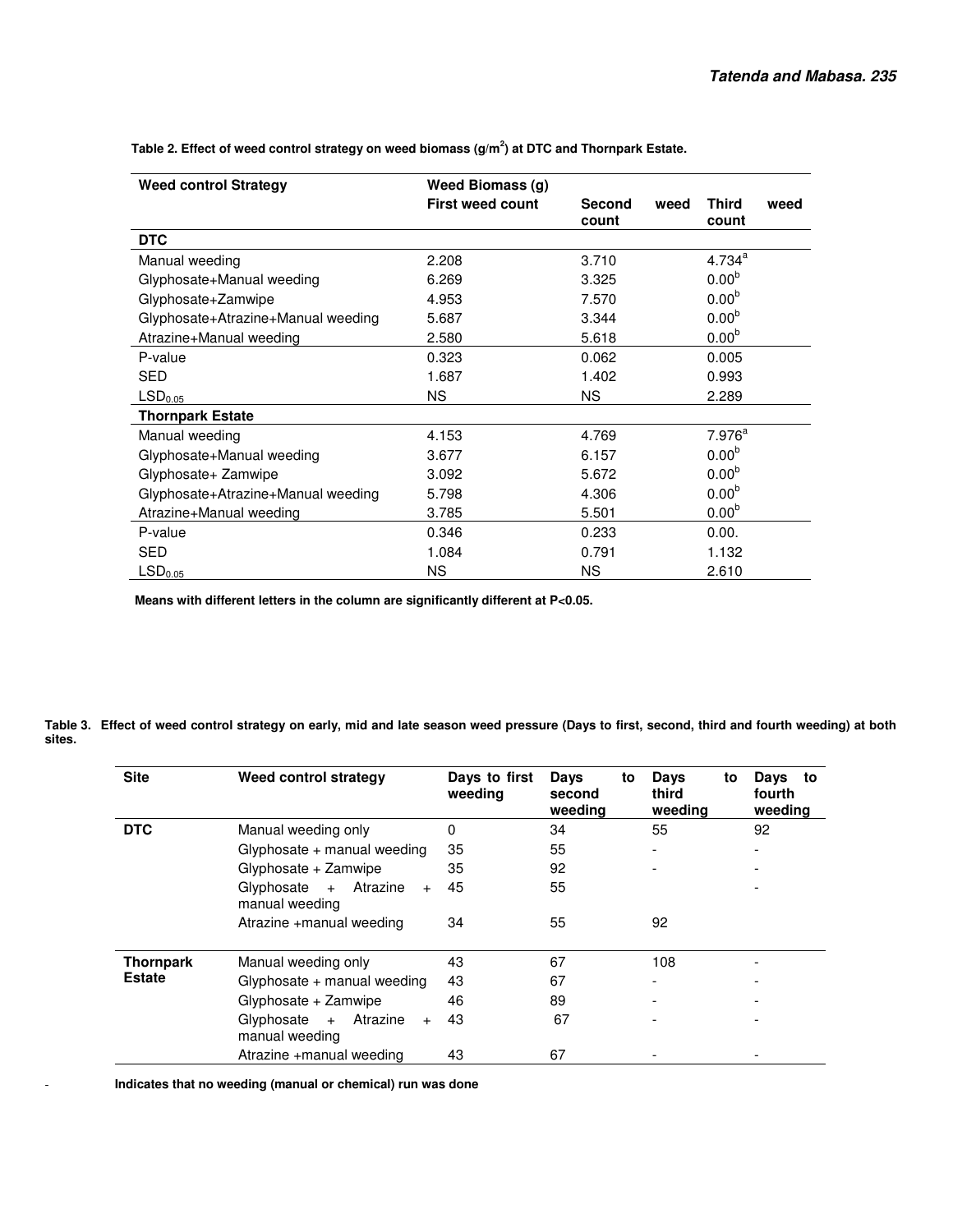| <b>Weed control Strategy</b>       | Weed Biomass (g)        |                        |      |                       |      |
|------------------------------------|-------------------------|------------------------|------|-----------------------|------|
|                                    | <b>First weed count</b> | <b>Second</b><br>count | weed | <b>Third</b><br>count | weed |
| <b>DTC</b>                         |                         |                        |      |                       |      |
| Manual weeding                     | 2.208                   | 3.710                  |      | $4.734^{a}$           |      |
| Glyphosate+Manual weeding          | 6.269                   | 3.325                  |      | 0.00 <sup>b</sup>     |      |
| Glyphosate+Zamwipe                 | 4.953                   | 7.570                  |      | 0.00 <sup>b</sup>     |      |
| Glyphosate+Atrazine+Manual weeding | 5.687                   | 3.344                  |      | 0.00 <sup>b</sup>     |      |
| Atrazine+Manual weeding            | 2.580                   | 5.618                  |      | 0.00 <sup>b</sup>     |      |
| P-value                            | 0.323                   | 0.062                  |      | 0.005                 |      |
| <b>SED</b>                         | 1.687                   | 1.402                  |      | 0.993                 |      |
| LSD <sub>0.05</sub>                | <b>NS</b>               | NS.                    |      | 2.289                 |      |
| <b>Thornpark Estate</b>            |                         |                        |      |                       |      |
| Manual weeding                     | 4.153                   | 4.769                  |      | 7.976 <sup>a</sup>    |      |
| Glyphosate+Manual weeding          | 3.677                   | 6.157                  |      | 0.00 <sup>b</sup>     |      |
| Glyphosate+ Zamwipe                | 3.092                   | 5.672                  |      | 0.00 <sup>b</sup>     |      |
| Glyphosate+Atrazine+Manual weeding | 5.798                   | 4.306                  |      | 0.00 <sup>b</sup>     |      |
| Atrazine+Manual weeding            | 3.785                   | 5.501                  |      | 0.00 <sup>b</sup>     |      |
| P-value                            | 0.346                   | 0.233                  |      | 0.00.                 |      |
| <b>SED</b>                         | 1.084                   | 0.791                  |      | 1.132                 |      |
| LSD <sub>0.05</sub>                | ΝS                      | NS.                    |      | 2.610                 |      |

 **Table 2. Effect of weed control strategy on weed biomass (g/m<sup>2</sup> ) at DTC and Thornpark Estate.** 

 **Means with different letters in the column are significantly different at P<0.05.** 

**Table 3. Effect of weed control strategy on early, mid and late season weed pressure (Days to first, second, third and fourth weeding) at both sites.** 

| <b>Site</b>      | Weed control strategy                               | Days to first<br>weeding | Days<br>to<br>second<br>weeding | Days<br>to<br>third<br>weeding | Days<br>to<br>fourth<br>weeding |
|------------------|-----------------------------------------------------|--------------------------|---------------------------------|--------------------------------|---------------------------------|
| <b>DTC</b>       | Manual weeding only                                 | 0                        | 34                              | 55                             | 92                              |
|                  | Glyphosate $+$ manual weeding                       | 35                       | 55                              | $\overline{\phantom{a}}$       |                                 |
|                  | Glyphosate + Zamwipe                                | 35                       | 92                              | $\overline{\phantom{a}}$       |                                 |
|                  | Atrazine<br>Glyphosate $+$<br>$+$<br>manual weeding | 45                       | 55                              |                                |                                 |
|                  | Atrazine +manual weeding                            | 34                       | 55                              | 92                             |                                 |
| <b>Thornpark</b> | Manual weeding only                                 | 43                       | 67                              | 108                            |                                 |
| <b>Estate</b>    | Glyphosate + manual weeding                         | 43                       | 67                              | $\overline{\phantom{a}}$       |                                 |
|                  | Glyphosate + Zamwipe                                | 46                       | 89                              | $\overline{\phantom{a}}$       |                                 |
|                  | Atrazine<br>Glyphosate $+$<br>$+$<br>manual weeding | 43                       | 67                              |                                |                                 |
|                  | Atrazine +manual weeding                            | 43                       | 67                              | $\overline{\phantom{a}}$       |                                 |

- **Indicates that no weeding (manual or chemical) run was done**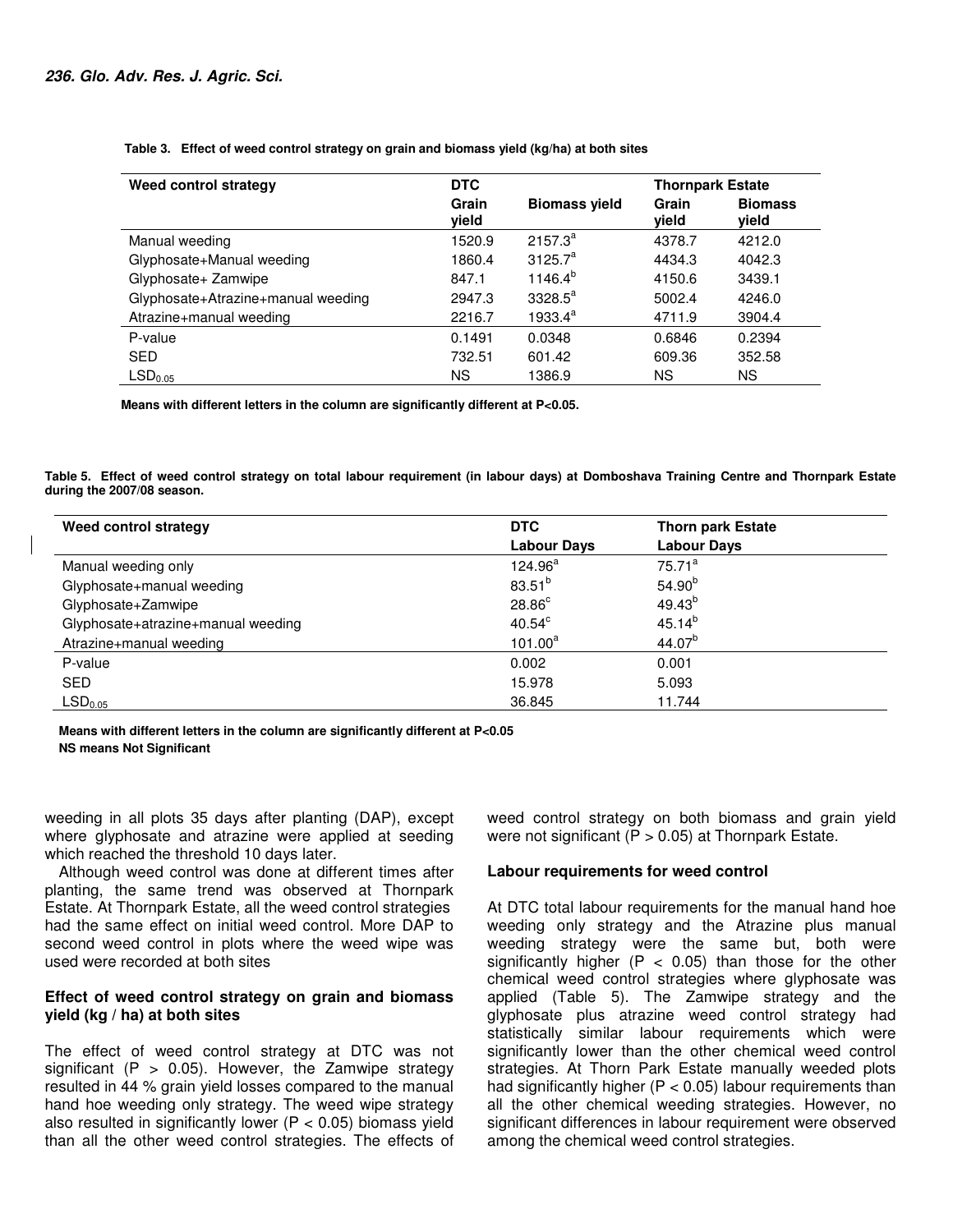**Table 3. Effect of weed control strategy on grain and biomass yield (kg/ha) at both sites** 

| Weed control strategy              | <b>DTC</b>     |                      | <b>Thornpark Estate</b> |                         |  |
|------------------------------------|----------------|----------------------|-------------------------|-------------------------|--|
|                                    | Grain<br>vield | <b>Biomass yield</b> | Grain<br>vield          | <b>Biomass</b><br>vield |  |
| Manual weeding                     | 1520.9         | $2157.3^{a}$         | 4378.7                  | 4212.0                  |  |
| Glyphosate+Manual weeding          | 1860.4         | $3125.7^a$           | 4434.3                  | 4042.3                  |  |
| Glyphosate+ Zamwipe                | 847.1          | $1146.4^{b}$         | 4150.6                  | 3439.1                  |  |
| Glyphosate+Atrazine+manual weeding | 2947.3         | $3328.5^a$           | 5002.4                  | 4246.0                  |  |
| Atrazine+manual weeding            | 2216.7         | $1933.4^a$           | 4711.9                  | 3904.4                  |  |
| P-value                            | 0.1491         | 0.0348               | 0.6846                  | 0.2394                  |  |
| <b>SED</b>                         | 732.51         | 601.42               | 609.36                  | 352.58                  |  |
| $\mathsf{LSD}_{0.05}$              | ΝS             | 1386.9               | ΝS                      | ΝS                      |  |

 **Means with different letters in the column are significantly different at P<0.05.** 

**Table 5. Effect of weed control strategy on total labour requirement (in labour days) at Domboshava Training Centre and Thornpark Estate during the 2007/08 season.** 

| Weed control strategy              | <b>DTC</b>         | <b>Thorn park Estate</b> |  |
|------------------------------------|--------------------|--------------------------|--|
|                                    | <b>Labour Days</b> | <b>Labour Days</b>       |  |
| Manual weeding only                | $124.96^a$         | $75.71^a$                |  |
| Glyphosate+manual weeding          | $83.51^{b}$        | $54.90^{b}$              |  |
| Glyphosate+Zamwipe                 | $28.86^{\circ}$    | $49.43^{b}$              |  |
| Glyphosate+atrazine+manual weeding | $40.54^{\circ}$    | $45.14^{b}$              |  |
| Atrazine+manual weeding            | $101.00^a$         | $44.07^{b}$              |  |
| P-value                            | 0.002              | 0.001                    |  |
| <b>SED</b>                         | 15.978             | 5.093                    |  |
| LSD <sub>0.05</sub>                | 36.845             | 11.744                   |  |

**Means with different letters in the column are significantly different at P<0.05 NS means Not Significant**

weeding in all plots 35 days after planting (DAP), except where glyphosate and atrazine were applied at seeding which reached the threshold 10 days later.

Although weed control was done at different times after planting, the same trend was observed at Thornpark Estate. At Thornpark Estate, all the weed control strategies had the same effect on initial weed control. More DAP to second weed control in plots where the weed wipe was used were recorded at both sites

## **Effect of weed control strategy on grain and biomass yield (kg / ha) at both sites**

The effect of weed control strategy at DTC was not significant (P  $> 0.05$ ). However, the Zamwipe strategy resulted in 44 % grain yield losses compared to the manual hand hoe weeding only strategy. The weed wipe strategy also resulted in significantly lower ( $P < 0.05$ ) biomass yield than all the other weed control strategies. The effects of weed control strategy on both biomass and grain yield were not significant ( $P > 0.05$ ) at Thornpark Estate.

## **Labour requirements for weed control**

At DTC total labour requirements for the manual hand hoe weeding only strategy and the Atrazine plus manual weeding strategy were the same but, both were significantly higher ( $P < 0.05$ ) than those for the other chemical weed control strategies where glyphosate was applied (Table 5). The Zamwipe strategy and the glyphosate plus atrazine weed control strategy had statistically similar labour requirements which were significantly lower than the other chemical weed control strategies. At Thorn Park Estate manually weeded plots had significantly higher ( $P < 0.05$ ) labour requirements than all the other chemical weeding strategies. However, no significant differences in labour requirement were observed among the chemical weed control strategies.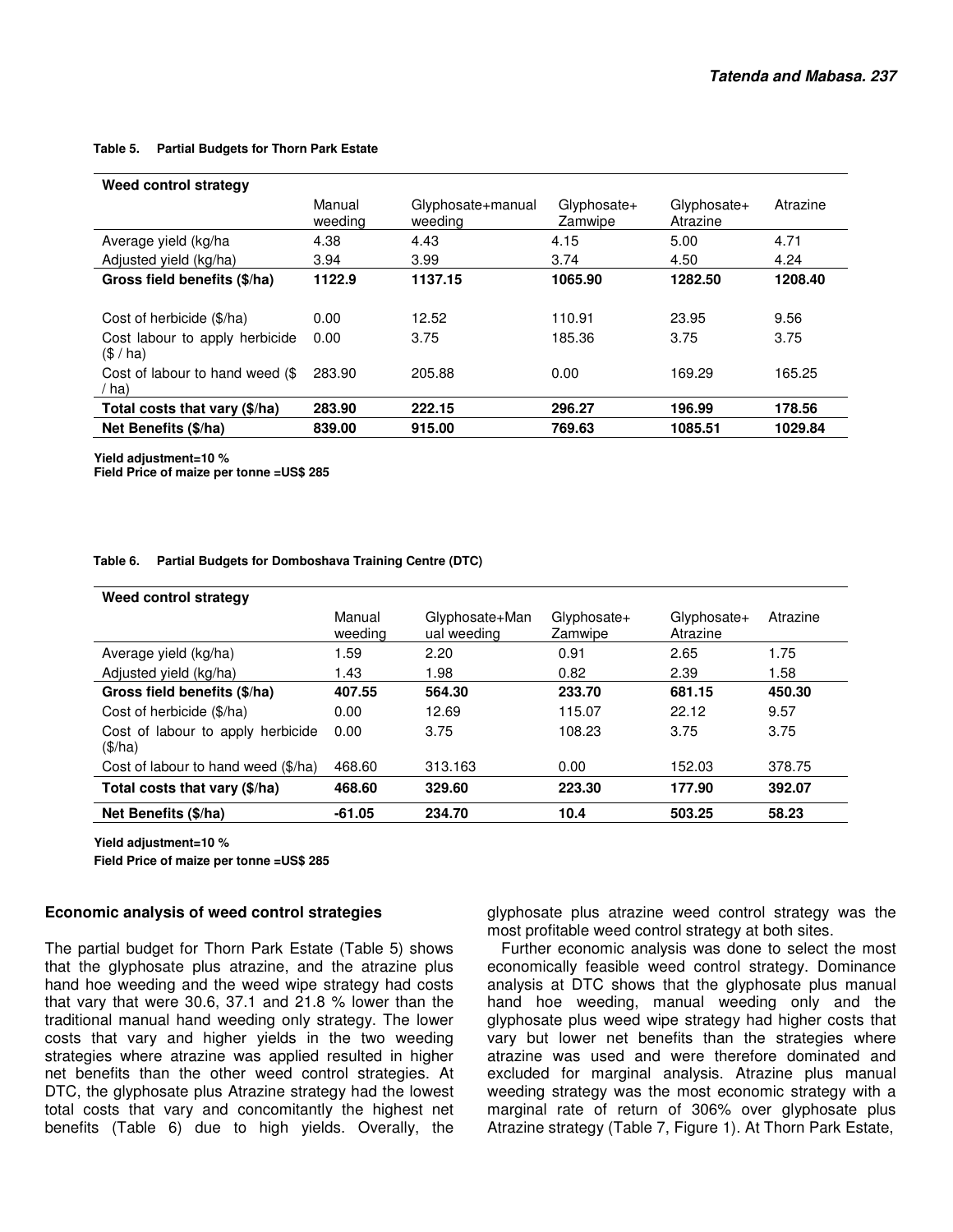#### **Table 5. Partial Budgets for Thorn Park Estate**

| Weed control strategy                      |                   |                              |                        |                         |          |
|--------------------------------------------|-------------------|------------------------------|------------------------|-------------------------|----------|
|                                            | Manual<br>weeding | Glyphosate+manual<br>weeding | Glyphosate+<br>Zamwipe | Glyphosate+<br>Atrazine | Atrazine |
| Average yield (kg/ha                       | 4.38              | 4.43                         | 4.15                   | 5.00                    | 4.71     |
| Adjusted yield (kg/ha)                     | 3.94              | 3.99                         | 3.74                   | 4.50                    | 4.24     |
| Gross field benefits (\$/ha)               | 1122.9            | 1137.15                      | 1065.90                | 1282.50                 | 1208.40  |
|                                            |                   |                              |                        |                         |          |
| Cost of herbicide (\$/ha)                  | 0.00              | 12.52                        | 110.91                 | 23.95                   | 9.56     |
| Cost labour to apply herbicide<br>(S / ha) | 0.00              | 3.75                         | 185.36                 | 3.75                    | 3.75     |
| Cost of labour to hand weed (\$)<br>/ ha)  | 283.90            | 205.88                       | 0.00                   | 169.29                  | 165.25   |
| Total costs that vary (\$/ha)              | 283.90            | 222.15                       | 296.27                 | 196.99                  | 178.56   |
| Net Benefits (\$/ha)                       | 839.00            | 915.00                       | 769.63                 | 1085.51                 | 1029.84  |

**Yield adjustment=10 %** 

**Field Price of maize per tonne =US\$ 285**

## **Table 6. Partial Budgets for Domboshava Training Centre (DTC)**

| Weed control strategy                        |                   |                               |                        |                         |          |
|----------------------------------------------|-------------------|-------------------------------|------------------------|-------------------------|----------|
|                                              | Manual<br>weeding | Glyphosate+Man<br>ual weeding | Glyphosate+<br>Zamwipe | Glyphosate+<br>Atrazine | Atrazine |
| Average yield (kg/ha)                        | 1.59              | 2.20                          | 0.91                   | 2.65                    | 1.75     |
| Adjusted yield (kg/ha)                       | 1.43              | 1.98                          | 0.82                   | 2.39                    | 1.58     |
| Gross field benefits (\$/ha)                 | 407.55            | 564.30                        | 233.70                 | 681.15                  | 450.30   |
| Cost of herbicide (\$/ha)                    | 0.00              | 12.69                         | 115.07                 | 22.12                   | 9.57     |
| Cost of labour to apply herbicide<br>(\$/ha) | 0.00              | 3.75                          | 108.23                 | 3.75                    | 3.75     |
| Cost of labour to hand weed (\$/ha)          | 468.60            | 313.163                       | 0.00                   | 152.03                  | 378.75   |
| Total costs that vary (\$/ha)                | 468.60            | 329.60                        | 223.30                 | 177.90                  | 392.07   |
| Net Benefits (\$/ha)                         | $-61.05$          | 234.70                        | 10.4                   | 503.25                  | 58.23    |

**Yield adjustment=10 %** 

**Field Price of maize per tonne =US\$ 285** 

#### **Economic analysis of weed control strategies**

The partial budget for Thorn Park Estate (Table 5) shows that the glyphosate plus atrazine, and the atrazine plus hand hoe weeding and the weed wipe strategy had costs that vary that were 30.6, 37.1 and 21.8 % lower than the traditional manual hand weeding only strategy. The lower costs that vary and higher yields in the two weeding strategies where atrazine was applied resulted in higher net benefits than the other weed control strategies. At DTC, the glyphosate plus Atrazine strategy had the lowest total costs that vary and concomitantly the highest net benefits (Table 6) due to high yields. Overally, the

glyphosate plus atrazine weed control strategy was the most profitable weed control strategy at both sites.

Further economic analysis was done to select the most economically feasible weed control strategy. Dominance analysis at DTC shows that the glyphosate plus manual hand hoe weeding, manual weeding only and the glyphosate plus weed wipe strategy had higher costs that vary but lower net benefits than the strategies where atrazine was used and were therefore dominated and excluded for marginal analysis. Atrazine plus manual weeding strategy was the most economic strategy with a marginal rate of return of 306% over glyphosate plus Atrazine strategy (Table 7, Figure 1). At Thorn Park Estate,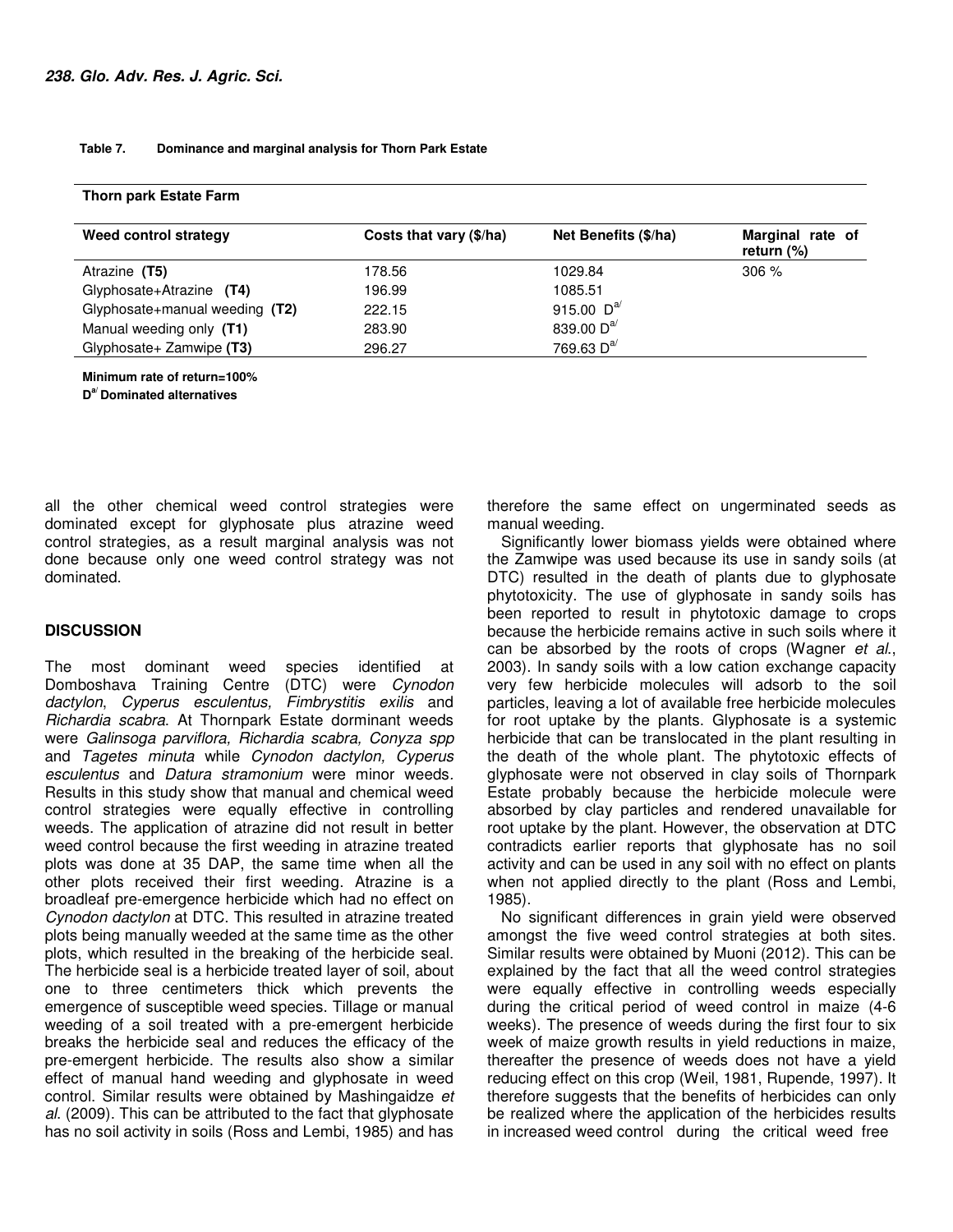#### **Table 7. Dominance and marginal analysis for Thorn Park Estate**

| Weed control strategy          | Costs that vary (\$/ha) | Net Benefits (\$/ha) | Marginal rate of<br>return $(\%)$ |
|--------------------------------|-------------------------|----------------------|-----------------------------------|
| Atrazine (T5)                  | 178.56                  | 1029.84              | 306%                              |
| Glyphosate+Atrazine (T4)       | 196.99                  | 1085.51              |                                   |
| Glyphosate+manual weeding (T2) | 222.15                  | 915.00 $D^{a}$       |                                   |
| Manual weeding only (T1)       | 283.90                  | 839.00 $D^{a'}$      |                                   |
| Glyphosate+ Zamwipe (T3)       | 296.27                  | 769.63 $D^{a/}$      |                                   |

**Thorn park Estate Farm** 

**Minimum rate of return=100%** 

**D a/ Dominated alternatives** 

all the other chemical weed control strategies were dominated except for glyphosate plus atrazine weed control strategies, as a result marginal analysis was not done because only one weed control strategy was not dominated.

## **DISCUSSION**

The most dominant weed species identified at Domboshava Training Centre (DTC) were Cynodon dactylon, Cyperus esculentus, Fimbrystitis exilis and Richardia scabra. At Thornpark Estate dorminant weeds were Galinsoga parviflora, Richardia scabra, Conyza spp and Tagetes minuta while Cynodon dactylon, Cyperus esculentus and Datura stramonium were minor weeds. Results in this study show that manual and chemical weed control strategies were equally effective in controlling weeds. The application of atrazine did not result in better weed control because the first weeding in atrazine treated plots was done at 35 DAP, the same time when all the other plots received their first weeding. Atrazine is a broadleaf pre-emergence herbicide which had no effect on Cynodon dactylon at DTC. This resulted in atrazine treated plots being manually weeded at the same time as the other plots, which resulted in the breaking of the herbicide seal. The herbicide seal is a herbicide treated layer of soil, about one to three centimeters thick which prevents the emergence of susceptible weed species. Tillage or manual weeding of a soil treated with a pre-emergent herbicide breaks the herbicide seal and reduces the efficacy of the pre-emergent herbicide. The results also show a similar effect of manual hand weeding and glyphosate in weed control. Similar results were obtained by Mashingaidze et al. (2009). This can be attributed to the fact that glyphosate has no soil activity in soils (Ross and Lembi, 1985) and has

therefore the same effect on ungerminated seeds as manual weeding.

Significantly lower biomass yields were obtained where the Zamwipe was used because its use in sandy soils (at DTC) resulted in the death of plants due to glyphosate phytotoxicity. The use of glyphosate in sandy soils has been reported to result in phytotoxic damage to crops because the herbicide remains active in such soils where it can be absorbed by the roots of crops (Wagner et al., 2003). In sandy soils with a low cation exchange capacity very few herbicide molecules will adsorb to the soil particles, leaving a lot of available free herbicide molecules for root uptake by the plants. Glyphosate is a systemic herbicide that can be translocated in the plant resulting in the death of the whole plant. The phytotoxic effects of glyphosate were not observed in clay soils of Thornpark Estate probably because the herbicide molecule were absorbed by clay particles and rendered unavailable for root uptake by the plant. However, the observation at DTC contradicts earlier reports that glyphosate has no soil activity and can be used in any soil with no effect on plants when not applied directly to the plant (Ross and Lembi, 1985).

No significant differences in grain yield were observed amongst the five weed control strategies at both sites. Similar results were obtained by Muoni (2012). This can be explained by the fact that all the weed control strategies were equally effective in controlling weeds especially during the critical period of weed control in maize (4-6 weeks). The presence of weeds during the first four to six week of maize growth results in yield reductions in maize, thereafter the presence of weeds does not have a yield reducing effect on this crop (Weil, 1981, Rupende, 1997). It therefore suggests that the benefits of herbicides can only be realized where the application of the herbicides results in increased weed control during the critical weed free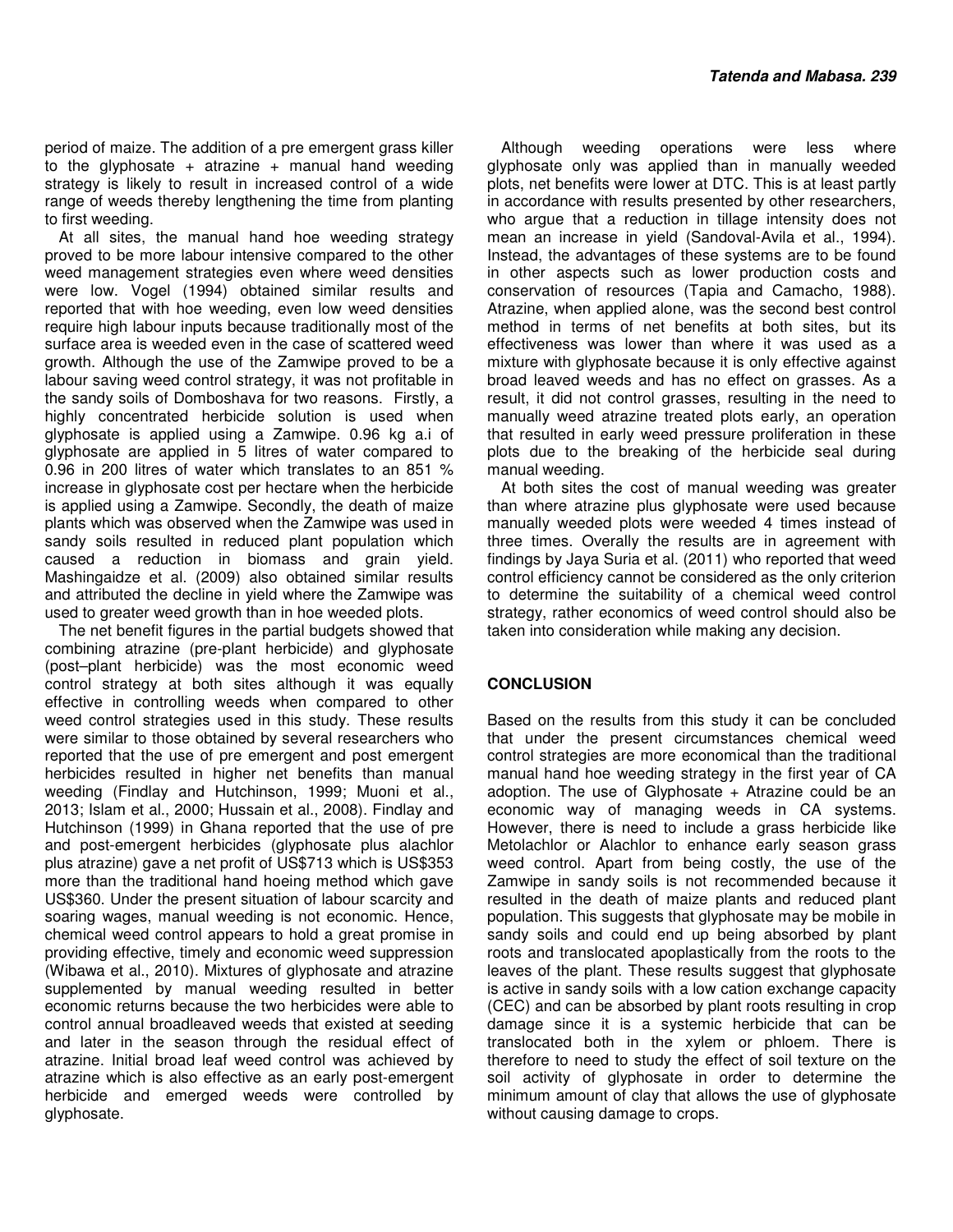period of maize. The addition of a pre emergent grass killer to the glyphosate + atrazine + manual hand weeding strategy is likely to result in increased control of a wide range of weeds thereby lengthening the time from planting to first weeding.

At all sites, the manual hand hoe weeding strategy proved to be more labour intensive compared to the other weed management strategies even where weed densities were low. Vogel (1994) obtained similar results and reported that with hoe weeding, even low weed densities require high labour inputs because traditionally most of the surface area is weeded even in the case of scattered weed growth. Although the use of the Zamwipe proved to be a labour saving weed control strategy, it was not profitable in the sandy soils of Domboshava for two reasons. Firstly, a highly concentrated herbicide solution is used when glyphosate is applied using a Zamwipe. 0.96 kg a.i of glyphosate are applied in 5 litres of water compared to 0.96 in 200 litres of water which translates to an 851 % increase in glyphosate cost per hectare when the herbicide is applied using a Zamwipe. Secondly, the death of maize plants which was observed when the Zamwipe was used in sandy soils resulted in reduced plant population which caused a reduction in biomass and grain yield. Mashingaidze et al. (2009) also obtained similar results and attributed the decline in yield where the Zamwipe was used to greater weed growth than in hoe weeded plots.

The net benefit figures in the partial budgets showed that combining atrazine (pre-plant herbicide) and glyphosate (post–plant herbicide) was the most economic weed control strategy at both sites although it was equally effective in controlling weeds when compared to other weed control strategies used in this study. These results were similar to those obtained by several researchers who reported that the use of pre emergent and post emergent herbicides resulted in higher net benefits than manual weeding (Findlay and Hutchinson, 1999; Muoni et al., 2013; Islam et al., 2000; Hussain et al., 2008). Findlay and Hutchinson (1999) in Ghana reported that the use of pre and post-emergent herbicides (glyphosate plus alachlor plus atrazine) gave a net profit of US\$713 which is US\$353 more than the traditional hand hoeing method which gave US\$360. Under the present situation of labour scarcity and soaring wages, manual weeding is not economic. Hence, chemical weed control appears to hold a great promise in providing effective, timely and economic weed suppression (Wibawa et al., 2010). Mixtures of glyphosate and atrazine supplemented by manual weeding resulted in better economic returns because the two herbicides were able to control annual broadleaved weeds that existed at seeding and later in the season through the residual effect of atrazine. Initial broad leaf weed control was achieved by atrazine which is also effective as an early post-emergent herbicide and emerged weeds were controlled by glyphosate.

Although weeding operations were less where glyphosate only was applied than in manually weeded plots, net benefits were lower at DTC. This is at least partly in accordance with results presented by other researchers, who argue that a reduction in tillage intensity does not mean an increase in yield (Sandoval-Avila et al., 1994). Instead, the advantages of these systems are to be found in other aspects such as lower production costs and conservation of resources (Tapia and Camacho, 1988). Atrazine, when applied alone, was the second best control method in terms of net benefits at both sites, but its effectiveness was lower than where it was used as a mixture with glyphosate because it is only effective against broad leaved weeds and has no effect on grasses. As a result, it did not control grasses, resulting in the need to manually weed atrazine treated plots early, an operation that resulted in early weed pressure proliferation in these plots due to the breaking of the herbicide seal during manual weeding.

At both sites the cost of manual weeding was greater than where atrazine plus glyphosate were used because manually weeded plots were weeded 4 times instead of three times. Overally the results are in agreement with findings by Jaya Suria et al. (2011) who reported that weed control efficiency cannot be considered as the only criterion to determine the suitability of a chemical weed control strategy, rather economics of weed control should also be taken into consideration while making any decision.

## **CONCLUSION**

Based on the results from this study it can be concluded that under the present circumstances chemical weed control strategies are more economical than the traditional manual hand hoe weeding strategy in the first year of CA adoption. The use of Glyphosate  $+$  Atrazine could be an economic way of managing weeds in CA systems. However, there is need to include a grass herbicide like Metolachlor or Alachlor to enhance early season grass weed control. Apart from being costly, the use of the Zamwipe in sandy soils is not recommended because it resulted in the death of maize plants and reduced plant population. This suggests that glyphosate may be mobile in sandy soils and could end up being absorbed by plant roots and translocated apoplastically from the roots to the leaves of the plant. These results suggest that glyphosate is active in sandy soils with a low cation exchange capacity (CEC) and can be absorbed by plant roots resulting in crop damage since it is a systemic herbicide that can be translocated both in the xylem or phloem. There is therefore to need to study the effect of soil texture on the soil activity of glyphosate in order to determine the minimum amount of clay that allows the use of glyphosate without causing damage to crops.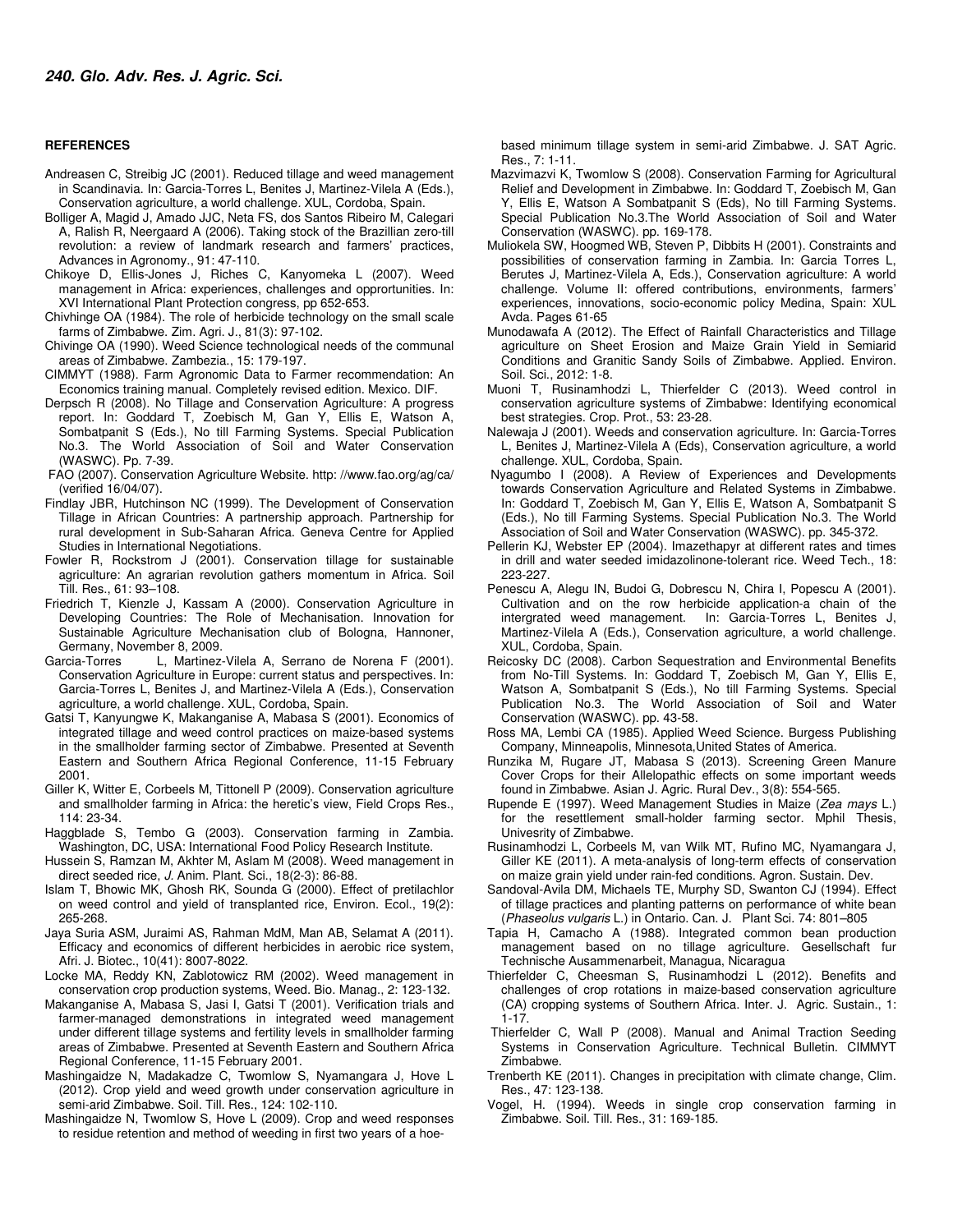#### **REFERENCES**

- Andreasen C, Streibig JC (2001). Reduced tillage and weed management in Scandinavia. In: Garcia-Torres L, Benites J, Martinez-Vilela A (Eds.), Conservation agriculture, a world challenge. XUL, Cordoba, Spain.
- Bolliger A, Magid J, Amado JJC, Neta FS, dos Santos Ribeiro M, Calegari A, Ralish R, Neergaard A (2006). Taking stock of the Brazillian zero-till revolution: a review of landmark research and farmers' practices, Advances in Agronomy., 91: 47-110.
- Chikoye D, Ellis-Jones J, Riches C, Kanyomeka L (2007). Weed management in Africa: experiences, challenges and opprortunities. In: XVI International Plant Protection congress, pp 652-653.
- Chivhinge OA (1984). The role of herbicide technology on the small scale farms of Zimbabwe. Zim. Agri. J., 81(3): 97-102.
- Chivinge OA (1990). Weed Science technological needs of the communal areas of Zimbabwe. Zambezia., 15: 179-197.
- CIMMYT (1988). Farm Agronomic Data to Farmer recommendation: An Economics training manual. Completely revised edition. Mexico. DIF.
- Derpsch R (2008). No Tillage and Conservation Agriculture: A progress report. In: Goddard T, Zoebisch M, Gan Y, Ellis E, Watson A, Sombatpanit S (Eds.), No till Farming Systems. Special Publication No.3. The World Association of Soil and Water Conservation (WASWC). Pp. 7-39.
- FAO (2007). Conservation Agriculture Website. http: //www.fao.org/ag/ca/ (verified 16/04/07).
- Findlay JBR, Hutchinson NC (1999). The Development of Conservation Tillage in African Countries: A partnership approach. Partnership for rural development in Sub-Saharan Africa. Geneva Centre for Applied Studies in International Negotiations.
- Fowler R, Rockstrom J (2001). Conservation tillage for sustainable agriculture: An agrarian revolution gathers momentum in Africa. Soil Till. Res., 61: 93–108.
- Friedrich T, Kienzle J, Kassam A (2000). Conservation Agriculture in Developing Countries: The Role of Mechanisation. Innovation for Sustainable Agriculture Mechanisation club of Bologna, Hannoner, Germany, November 8, 2009.
- Garcia-Torres L, Martinez-Vilela A, Serrano de Norena F (2001). Conservation Agriculture in Europe: current status and perspectives. In: Garcia-Torres L, Benites J, and Martinez-Vilela A (Eds.), Conservation agriculture, a world challenge. XUL, Cordoba, Spain.
- Gatsi T, Kanyungwe K, Makanganise A, Mabasa S (2001). Economics of integrated tillage and weed control practices on maize-based systems in the smallholder farming sector of Zimbabwe. Presented at Seventh Eastern and Southern Africa Regional Conference, 11-15 February 2001.
- Giller K, Witter E, Corbeels M, Tittonell P (2009). Conservation agriculture and smallholder farming in Africa: the heretic's view, Field Crops Res., 114: 23-34.
- Haggblade S, Tembo G (2003). Conservation farming in Zambia. Washington, DC, USA: International Food Policy Research Institute.
- Hussein S, Ramzan M, Akhter M, Aslam M (2008). Weed management in direct seeded rice, J. Anim. Plant. Sci., 18(2-3): 86-88.
- Islam T, Bhowic MK, Ghosh RK, Sounda G (2000). Effect of pretilachlor on weed control and yield of transplanted rice, Environ. Ecol., 19(2): 265-268.
- Jaya Suria ASM, Juraimi AS, Rahman MdM, Man AB, Selamat A (2011). Efficacy and economics of different herbicides in aerobic rice system, Afri. J. Biotec., 10(41): 8007-8022.
- Locke MA, Reddy KN, Zablotowicz RM (2002). Weed management in conservation crop production systems, Weed. Bio. Manag., 2: 123-132.
- Makanganise A, Mabasa S, Jasi I, Gatsi T (2001). Verification trials and farmer-managed demonstrations in integrated weed management under different tillage systems and fertility levels in smallholder farming areas of Zimbabwe. Presented at Seventh Eastern and Southern Africa Regional Conference, 11-15 February 2001.
- Mashingaidze N, Madakadze C, Twomlow S, Nyamangara J, Hove L (2012). Crop yield and weed growth under conservation agriculture in semi-arid Zimbabwe. Soil. Till. Res., 124: 102-110.
- Mashingaidze N, Twomlow S, Hove L (2009). Crop and weed responses to residue retention and method of weeding in first two years of a hoe-

 based minimum tillage system in semi-arid Zimbabwe. J. SAT Agric. Res., 7: 1-11.

- Mazvimazvi K, Twomlow S (2008). Conservation Farming for Agricultural Relief and Development in Zimbabwe. In: Goddard T, Zoebisch M, Gan Y, Ellis E, Watson A Sombatpanit S (Eds), No till Farming Systems. Special Publication No.3.The World Association of Soil and Water Conservation (WASWC). pp. 169-178.
- Muliokela SW, Hoogmed WB, Steven P, Dibbits H (2001). Constraints and possibilities of conservation farming in Zambia. In: Garcia Torres L, Berutes J, Martinez-Vilela A, Eds.), Conservation agriculture: A world challenge. Volume II: offered contributions, environments, farmers' experiences, innovations, socio-economic policy Medina, Spain: XUL Avda. Pages 61-65
- Munodawafa A (2012). The Effect of Rainfall Characteristics and Tillage agriculture on Sheet Erosion and Maize Grain Yield in Semiarid Conditions and Granitic Sandy Soils of Zimbabwe. Applied. Environ. Soil. Sci., 2012: 1-8.
- Muoni T, Rusinamhodzi L, Thierfelder C (2013). Weed control in conservation agriculture systems of Zimbabwe: Identifying economical best strategies. Crop. Prot., 53: 23-28.
- Nalewaja J (2001). Weeds and conservation agriculture. In: Garcia-Torres L, Benites J, Martinez-Vilela A (Eds), Conservation agriculture, a world challenge. XUL, Cordoba, Spain.
- Nyagumbo I (2008). A Review of Experiences and Developments towards Conservation Agriculture and Related Systems in Zimbabwe. In: Goddard T, Zoebisch M, Gan Y, Ellis E, Watson A, Sombatpanit S (Eds.), No till Farming Systems. Special Publication No.3. The World Association of Soil and Water Conservation (WASWC). pp. 345-372.
- Pellerin KJ, Webster EP (2004). Imazethapyr at different rates and times in drill and water seeded imidazolinone-tolerant rice. Weed Tech., 18: 223-227.
- Penescu A, Alegu IN, Budoi G, Dobrescu N, Chira I, Popescu A (2001). Cultivation and on the row herbicide application-a chain of the intergrated weed management. In: Garcia-Torres L, Benites J, Martinez-Vilela A (Eds.), Conservation agriculture, a world challenge. XUL, Cordoba, Spain.
- Reicosky DC (2008). Carbon Sequestration and Environmental Benefits from No-Till Systems. In: Goddard T, Zoebisch M, Gan Y, Ellis E, Watson A, Sombatpanit S (Eds.), No till Farming Systems. Special Publication No.3. The World Association of Soil and Water Conservation (WASWC). pp. 43-58.
- Ross MA, Lembi CA (1985). Applied Weed Science. Burgess Publishing Company, Minneapolis, Minnesota,United States of America.
- Runzika M, Rugare JT, Mabasa S (2013). Screening Green Manure Cover Crops for their Allelopathic effects on some important weeds found in Zimbabwe. Asian J. Agric. Rural Dev., 3(8): 554-565.
- Rupende E (1997). Weed Management Studies in Maize (Zea mays L.) for the resettlement small-holder farming sector. Mphil Thesis, Univesrity of Zimbabwe.
- Rusinamhodzi L, Corbeels M, van Wilk MT, Rufino MC, Nyamangara J, Giller KE (2011). A meta-analysis of long-term effects of conservation on maize grain yield under rain-fed conditions. Agron. Sustain. Dev.
- Sandoval-Avila DM, Michaels TE, Murphy SD, Swanton CJ (1994). Effect of tillage practices and planting patterns on performance of white bean (Phaseolus vulgaris L.) in Ontario. Can. J. Plant Sci. 74: 801–805
- Tapia H, Camacho A (1988). Integrated common bean production management based on no tillage agriculture. Gesellschaft fur Technische Ausammenarbeit, Managua, Nicaragua
- Thierfelder C, Cheesman S, Rusinamhodzi L (2012). Benefits and challenges of crop rotations in maize-based conservation agriculture (CA) cropping systems of Southern Africa. Inter. J. Agric. Sustain., 1: 1-17.
- Thierfelder C, Wall P (2008). Manual and Animal Traction Seeding Systems in Conservation Agriculture. Technical Bulletin. CIMMYT Zimbabwe.
- Trenberth KE (2011). Changes in precipitation with climate change, Clim. Res., 47: 123-138.
- Vogel, H. (1994). Weeds in single crop conservation farming in Zimbabwe. Soil. Till. Res., 31: 169-185.